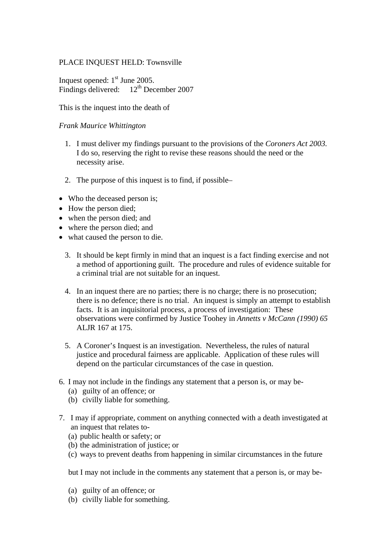## PLACE INQUEST HELD: Townsville

Inquest opened:  $1<sup>st</sup>$  June 2005. Findings delivered: 12<sup>th</sup> December 2007

This is the inquest into the death of

## *Frank Maurice Whittington*

- 1. I must deliver my findings pursuant to the provisions of the *Coroners Act 2003.* I do so, reserving the right to revise these reasons should the need or the necessity arise.
- 2. The purpose of this inquest is to find, if possible–
- Who the deceased person is:
- How the person died;
- when the person died; and
- where the person died; and
- what caused the person to die.
	- 3. It should be kept firmly in mind that an inquest is a fact finding exercise and not a method of apportioning guilt. The procedure and rules of evidence suitable for a criminal trial are not suitable for an inquest.
	- 4. In an inquest there are no parties; there is no charge; there is no prosecution; there is no defence; there is no trial. An inquest is simply an attempt to establish facts. It is an inquisitorial process, a process of investigation: These observations were confirmed by Justice Toohey in *Annetts v McCann (1990) 65* ALJR 167 at 175.
	- 5. A Coroner's Inquest is an investigation. Nevertheless, the rules of natural justice and procedural fairness are applicable. Application of these rules will depend on the particular circumstances of the case in question.
- 6. I may not include in the findings any statement that a person is, or may be-
	- (a) guilty of an offence; or
	- (b) civilly liable for something.
- 7. I may if appropriate, comment on anything connected with a death investigated at an inquest that relates to-
	- (a) public health or safety; or
	- (b) the administration of justice; or
	- (c) ways to prevent deaths from happening in similar circumstances in the future

but I may not include in the comments any statement that a person is, or may be-

- (a) guilty of an offence; or
- (b) civilly liable for something.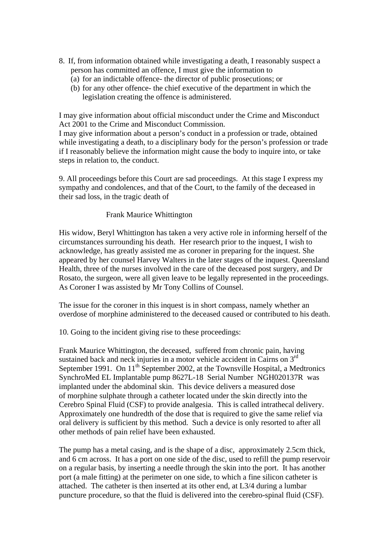- 8. If, from information obtained while investigating a death, I reasonably suspect a person has committed an offence, I must give the information to
	- (a) for an indictable offence- the director of public prosecutions; or
	- (b) for any other offence- the chief executive of the department in which the legislation creating the offence is administered.

I may give information about official misconduct under the Crime and Misconduct Act 2001 to the Crime and Misconduct Commission.

I may give information about a person's conduct in a profession or trade, obtained while investigating a death, to a disciplinary body for the person's profession or trade if I reasonably believe the information might cause the body to inquire into, or take steps in relation to, the conduct.

9. All proceedings before this Court are sad proceedings. At this stage I express my sympathy and condolences, and that of the Court, to the family of the deceased in their sad loss, in the tragic death of

## Frank Maurice Whittington

His widow, Beryl Whittington has taken a very active role in informing herself of the circumstances surrounding his death. Her research prior to the inquest, I wish to acknowledge, has greatly assisted me as coroner in preparing for the inquest. She appeared by her counsel Harvey Walters in the later stages of the inquest. Queensland Health, three of the nurses involved in the care of the deceased post surgery, and Dr Rosato, the surgeon, were all given leave to be legally represented in the proceedings. As Coroner I was assisted by Mr Tony Collins of Counsel.

The issue for the coroner in this inquest is in short compass, namely whether an overdose of morphine administered to the deceased caused or contributed to his death.

10. Going to the incident giving rise to these proceedings:

Frank Maurice Whittington, the deceased, suffered from chronic pain, having sustained back and neck injuries in a motor vehicle accident in Cairns on  $3<sup>rd</sup>$ September 1991. On  $11<sup>th</sup>$  September 2002, at the Townsville Hospital, a Medtronics SynchroMed EL Implantable pump 8627L-18 Serial Number NGH020137R was implanted under the abdominal skin. This device delivers a measured dose of morphine sulphate through a catheter located under the skin directly into the Cerebro Spinal Fluid (CSF) to provide analgesia. This is called intrathecal delivery. Approximately one hundredth of the dose that is required to give the same relief via oral delivery is sufficient by this method. Such a device is only resorted to after all other methods of pain relief have been exhausted.

The pump has a metal casing, and is the shape of a disc, approximately 2.5cm thick, and 6 cm across. It has a port on one side of the disc, used to refill the pump reservoir on a regular basis, by inserting a needle through the skin into the port. It has another port (a male fitting) at the perimeter on one side, to which a fine silicon catheter is attached. The catheter is then inserted at its other end, at L3/4 during a lumbar puncture procedure, so that the fluid is delivered into the cerebro-spinal fluid (CSF).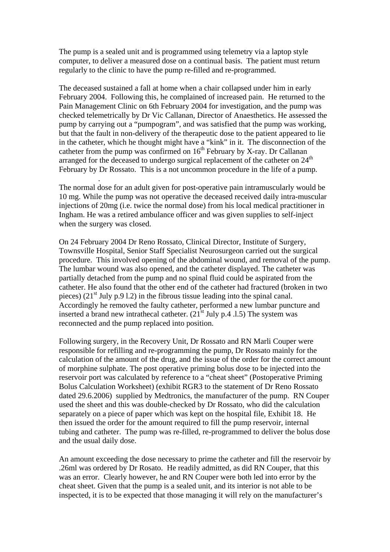The pump is a sealed unit and is programmed using telemetry via a laptop style computer, to deliver a measured dose on a continual basis. The patient must return regularly to the clinic to have the pump re-filled and re-programmed.

The deceased sustained a fall at home when a chair collapsed under him in early February 2004. Following this, he complained of increased pain. He returned to the Pain Management Clinic on 6th February 2004 for investigation, and the pump was checked telemetrically by Dr Vic Callanan, Director of Anaesthetics. He assessed the pump by carrying out a "pumpogram", and was satisfied that the pump was working, but that the fault in non-delivery of the therapeutic dose to the patient appeared to lie in the catheter, which he thought might have a "kink" in it. The disconnection of the catheter from the pump was confirmed on  $16<sup>th</sup>$  February by X-ray. Dr Callanan arranged for the deceased to undergo surgical replacement of the catheter on 24<sup>th</sup> February by Dr Rossato. This is a not uncommon procedure in the life of a pump.

The normal dose for an adult given for post-operative pain intramuscularly would be 10 mg. While the pump was not operative the deceased received daily intra-muscular injections of 20mg (i.e. twice the normal dose) from his local medical practitioner in Ingham. He was a retired ambulance officer and was given supplies to self-inject when the surgery was closed.

.

On 24 February 2004 Dr Reno Rossato, Clinical Director, Institute of Surgery, Townsville Hospital, Senior Staff Specialist Neurosurgeon carried out the surgical procedure. This involved opening of the abdominal wound, and removal of the pump. The lumbar wound was also opened, and the catheter displayed. The catheter was partially detached from the pump and no spinal fluid could be aspirated from the catheter. He also found that the other end of the catheter had fractured (broken in two pieces)  $(21<sup>st</sup> July p.9 1.2)$  in the fibrous tissue leading into the spinal canal. Accordingly he removed the faulty catheter, performed a new lumbar puncture and inserted a brand new intrathecal catheter.  $(21<sup>st</sup>$  July p.4 .1.5) The system was reconnected and the pump replaced into position.

Following surgery, in the Recovery Unit, Dr Rossato and RN Marli Couper were responsible for refilling and re-programming the pump, Dr Rossato mainly for the calculation of the amount of the drug, and the issue of the order for the correct amount of morphine sulphate. The post operative priming bolus dose to be injected into the reservoir port was calculated by reference to a "cheat sheet" (Postoperative Priming Bolus Calculation Worksheet) (exhibit RGR3 to the statement of Dr Reno Rossato dated 29.6.2006) supplied by Medtronics, the manufacturer of the pump. RN Couper used the sheet and this was double-checked by Dr Rossato, who did the calculation separately on a piece of paper which was kept on the hospital file, Exhibit 18. He then issued the order for the amount required to fill the pump reservoir, internal tubing and catheter. The pump was re-filled, re-programmed to deliver the bolus dose and the usual daily dose.

An amount exceeding the dose necessary to prime the catheter and fill the reservoir by .26ml was ordered by Dr Rosato. He readily admitted, as did RN Couper, that this was an error. Clearly however, he and RN Couper were both led into error by the cheat sheet. Given that the pump is a sealed unit, and its interior is not able to be inspected, it is to be expected that those managing it will rely on the manufacturer's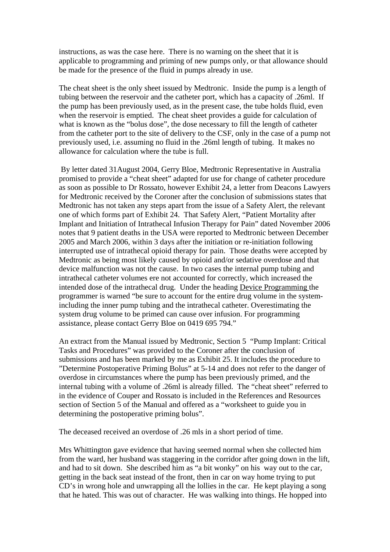instructions, as was the case here. There is no warning on the sheet that it is applicable to programming and priming of new pumps only, or that allowance should be made for the presence of the fluid in pumps already in use.

The cheat sheet is the only sheet issued by Medtronic. Inside the pump is a length of tubing between the reservoir and the catheter port, which has a capacity of .26ml. If the pump has been previously used, as in the present case, the tube holds fluid, even when the reservoir is emptied. The cheat sheet provides a guide for calculation of what is known as the "bolus dose", the dose necessary to fill the length of catheter from the catheter port to the site of delivery to the CSF, only in the case of a pump not previously used, i.e. assuming no fluid in the .26ml length of tubing. It makes no allowance for calculation where the tube is full.

 By letter dated 31August 2004, Gerry Bloe, Medtronic Representative in Australia promised to provide a "cheat sheet" adapted for use for change of catheter procedure as soon as possible to Dr Rossato, however Exhibit 24, a letter from Deacons Lawyers for Medtronic received by the Coroner after the conclusion of submissions states that Medtronic has not taken any steps apart from the issue of a Safety Alert, the relevant one of which forms part of Exhibit 24. That Safety Alert, "Patient Mortality after Implant and Initiation of Intrathecal Infusion Therapy for Pain" dated November 2006 notes that 9 patient deaths in the USA were reported to Medtronic between December 2005 and March 2006, within 3 days after the initiation or re-initiation following interrupted use of intrathecal opioid therapy for pain. Those deaths were accepted by Medtronic as being most likely caused by opioid and/or sedative overdose and that device malfunction was not the cause. In two cases the internal pump tubing and intrathecal catheter volumes ere not accounted for correctly, which increased the intended dose of the intrathecal drug. Under the heading Device Programming the programmer is warned "be sure to account for the entire drug volume in the systemincluding the inner pump tubing and the intrathecal catheter. Overestimating the system drug volume to be primed can cause over infusion. For programming assistance, please contact Gerry Bloe on 0419 695 794."

An extract from the Manual issued by Medtronic, Section 5 "Pump Implant: Critical Tasks and Procedures" was provided to the Coroner after the conclusion of submissions and has been marked by me as Exhibit 25. It includes the procedure to "Determine Postoperative Priming Bolus" at 5-14 and does not refer to the danger of overdose in circumstances where the pump has been previously primed, and the internal tubing with a volume of .26ml is already filled. The "cheat sheet" referred to in the evidence of Couper and Rossato is included in the References and Resources section of Section 5 of the Manual and offered as a "worksheet to guide you in determining the postoperative priming bolus".

The deceased received an overdose of .26 mls in a short period of time.

Mrs Whittington gave evidence that having seemed normal when she collected him from the ward, her husband was staggering in the corridor after going down in the lift, and had to sit down. She described him as "a bit wonky" on his way out to the car, getting in the back seat instead of the front, then in car on way home trying to put CD's in wrong hole and unwrapping all the lollies in the car. He kept playing a song that he hated. This was out of character. He was walking into things. He hopped into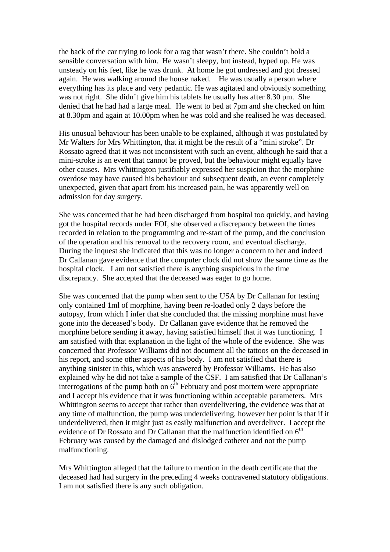the back of the car trying to look for a rag that wasn't there. She couldn't hold a sensible conversation with him. He wasn't sleepy, but instead, hyped up. He was unsteady on his feet, like he was drunk. At home he got undressed and got dressed again. He was walking around the house naked. He was usually a person where everything has its place and very pedantic. He was agitated and obviously something was not right. She didn't give him his tablets he usually has after 8.30 pm. She denied that he had had a large meal. He went to bed at 7pm and she checked on him at 8.30pm and again at 10.00pm when he was cold and she realised he was deceased.

His unusual behaviour has been unable to be explained, although it was postulated by Mr Walters for Mrs Whittington, that it might be the result of a "mini stroke". Dr Rossato agreed that it was not inconsistent with such an event, although he said that a mini-stroke is an event that cannot be proved, but the behaviour might equally have other causes. Mrs Whittington justifiably expressed her suspicion that the morphine overdose may have caused his behaviour and subsequent death, an event completely unexpected, given that apart from his increased pain, he was apparently well on admission for day surgery.

She was concerned that he had been discharged from hospital too quickly, and having got the hospital records under FOI, she observed a discrepancy between the times recorded in relation to the programming and re-start of the pump, and the conclusion of the operation and his removal to the recovery room, and eventual discharge. During the inquest she indicated that this was no longer a concern to her and indeed Dr Callanan gave evidence that the computer clock did not show the same time as the hospital clock. I am not satisfied there is anything suspicious in the time discrepancy. She accepted that the deceased was eager to go home.

She was concerned that the pump when sent to the USA by Dr Callanan for testing only contained 1ml of morphine, having been re-loaded only 2 days before the autopsy, from which I infer that she concluded that the missing morphine must have gone into the deceased's body. Dr Callanan gave evidence that he removed the morphine before sending it away, having satisfied himself that it was functioning. I am satisfied with that explanation in the light of the whole of the evidence. She was concerned that Professor Williams did not document all the tattoos on the deceased in his report, and some other aspects of his body. I am not satisfied that there is anything sinister in this, which was answered by Professor Williams. He has also explained why he did not take a sample of the CSF. I am satisfied that Dr Callanan's interrogations of the pump both on  $6<sup>th</sup>$  February and post mortem were appropriate and I accept his evidence that it was functioning within acceptable parameters. Mrs Whittington seems to accept that rather than overdelivering, the evidence was that at any time of malfunction, the pump was underdelivering, however her point is that if it underdelivered, then it might just as easily malfunction and overdeliver. I accept the evidence of Dr Rossato and Dr Callanan that the malfunction identified on  $6<sup>th</sup>$ February was caused by the damaged and dislodged catheter and not the pump malfunctioning.

Mrs Whittington alleged that the failure to mention in the death certificate that the deceased had had surgery in the preceding 4 weeks contravened statutory obligations. I am not satisfied there is any such obligation.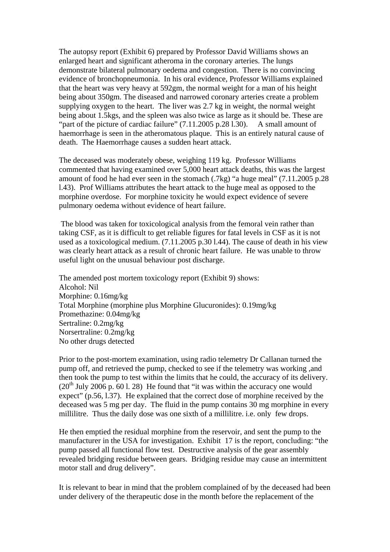The autopsy report (Exhibit 6) prepared by Professor David Williams shows an enlarged heart and significant atheroma in the coronary arteries. The lungs demonstrate bilateral pulmonary oedema and congestion. There is no convincing evidence of bronchopneumonia. In his oral evidence, Professor Williams explained that the heart was very heavy at 592gm, the normal weight for a man of his height being about 350gm. The diseased and narrowed coronary arteries create a problem supplying oxygen to the heart. The liver was 2.7 kg in weight, the normal weight being about 1.5kgs, and the spleen was also twice as large as it should be. These are "part of the picture of cardiac failure" (7.11.2005 p.28 l.30). A small amount of haemorrhage is seen in the atheromatous plaque. This is an entirely natural cause of death. The Haemorrhage causes a sudden heart attack.

The deceased was moderately obese, weighing 119 kg. Professor Williams commented that having examined over 5,000 heart attack deaths, this was the largest amount of food he had ever seen in the stomach (.7kg) "a huge meal" (7.11.2005 p.28 l.43). Prof Williams attributes the heart attack to the huge meal as opposed to the morphine overdose. For morphine toxicity he would expect evidence of severe pulmonary oedema without evidence of heart failure.

 The blood was taken for toxicological analysis from the femoral vein rather than taking CSF, as it is difficult to get reliable figures for fatal levels in CSF as it is not used as a toxicological medium. (7.11.2005 p.30 l.44). The cause of death in his view was clearly heart attack as a result of chronic heart failure. He was unable to throw useful light on the unusual behaviour post discharge.

The amended post mortem toxicology report (Exhibit 9) shows: Alcohol: Nil Morphine: 0.16mg/kg Total Morphine (morphine plus Morphine Glucuronides): 0.19mg/kg Promethazine: 0.04mg/kg Sertraline: 0.2mg/kg Norsertraline: 0.2mg/kg No other drugs detected

Prior to the post-mortem examination, using radio telemetry Dr Callanan turned the pump off, and retrieved the pump, checked to see if the telemetry was working ,and then took the pump to test within the limits that he could, the accuracy of its delivery.  $(20<sup>th</sup>$  July 2006 p. 60 l. 28) He found that "it was within the accuracy one would expect" (p.56, l.37). He explained that the correct dose of morphine received by the deceased was 5 mg per day. The fluid in the pump contains 30 mg morphine in every millilitre. Thus the daily dose was one sixth of a millilitre. i.e. only few drops.

He then emptied the residual morphine from the reservoir, and sent the pump to the manufacturer in the USA for investigation. Exhibit 17 is the report, concluding: "the pump passed all functional flow test. Destructive analysis of the gear assembly revealed bridging residue between gears. Bridging residue may cause an intermittent motor stall and drug delivery".

It is relevant to bear in mind that the problem complained of by the deceased had been under delivery of the therapeutic dose in the month before the replacement of the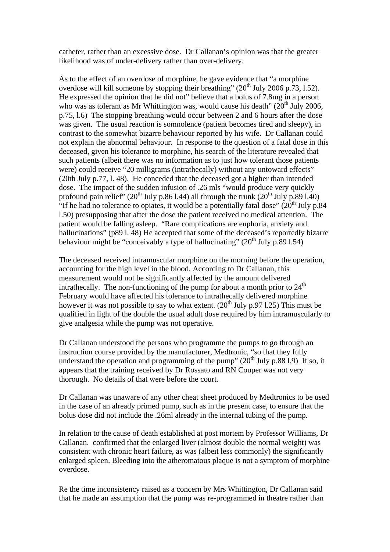catheter, rather than an excessive dose. Dr Callanan's opinion was that the greater likelihood was of under-delivery rather than over-delivery.

As to the effect of an overdose of morphine, he gave evidence that "a morphine overdose will kill someone by stopping their breathing" (20<sup>th</sup> July 2006 p.73, 1.52). He expressed the opinion that he did not" believe that a bolus of 7.8mg in a person who was as tolerant as Mr Whittington was, would cause his death"  $(20<sup>th</sup>$  July 2006, p.75, l.6) The stopping breathing would occur between 2 and 6 hours after the dose was given. The usual reaction is somnolence (patient becomes tired and sleepy), in contrast to the somewhat bizarre behaviour reported by his wife. Dr Callanan could not explain the abnormal behaviour. In response to the question of a fatal dose in this deceased, given his tolerance to morphine, his search of the literature revealed that such patients (albeit there was no information as to just how tolerant those patients were) could receive "20 milligrams (intrathecally) without any untoward effects" (20th July p.77, l. 48). He conceded that the deceased got a higher than intended dose. The impact of the sudden infusion of .26 mls "would produce very quickly profound pain relief" ( $20<sup>th</sup>$  July p.86 l.44) all through the trunk ( $20<sup>th</sup>$  July p.89 l.40) "If he had no tolerance to opiates, it would be a potentially fatal dose"  $(20<sup>th</sup>$  July p.84 l.50) presupposing that after the dose the patient received no medical attention. The patient would be falling asleep. "Rare complications are euphoria, anxiety and hallucinations" (p89 l. 48) He accepted that some of the deceased's reportedly bizarre behaviour might be "conceivably a type of hallucinating"  $(20<sup>th</sup>$  July p.89 l.54)

The deceased received intramuscular morphine on the morning before the operation, accounting for the high level in the blood. According to Dr Callanan, this measurement would not be significantly affected by the amount delivered intrathecally. The non-functioning of the pump for about a month prior to  $24<sup>th</sup>$ February would have affected his tolerance to intrathecally delivered morphine however it was not possible to say to what extent.  $(20<sup>th</sup>$  July p.97 l.25) This must be qualified in light of the double the usual adult dose required by him intramuscularly to give analgesia while the pump was not operative.

Dr Callanan understood the persons who programme the pumps to go through an instruction course provided by the manufacturer, Medtronic, "so that they fully understand the operation and programming of the pump"  $(20<sup>th</sup>$  July p.88 l.9) If so, it appears that the training received by Dr Rossato and RN Couper was not very thorough. No details of that were before the court.

Dr Callanan was unaware of any other cheat sheet produced by Medtronics to be used in the case of an already primed pump, such as in the present case, to ensure that the bolus dose did not include the .26ml already in the internal tubing of the pump.

In relation to the cause of death established at post mortem by Professor Williams, Dr Callanan. confirmed that the enlarged liver (almost double the normal weight) was consistent with chronic heart failure, as was (albeit less commonly) the significantly enlarged spleen. Bleeding into the atheromatous plaque is not a symptom of morphine overdose.

Re the time inconsistency raised as a concern by Mrs Whittington, Dr Callanan said that he made an assumption that the pump was re-programmed in theatre rather than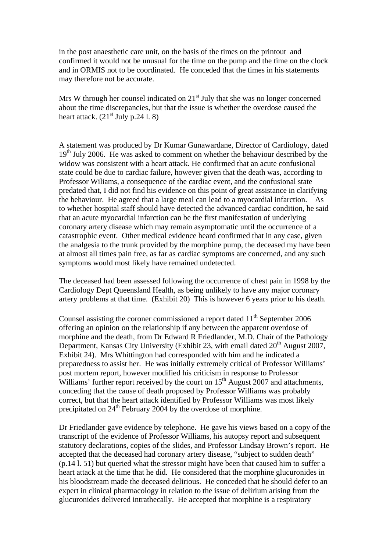in the post anaesthetic care unit, on the basis of the times on the printout and confirmed it would not be unusual for the time on the pump and the time on the clock and in ORMIS not to be coordinated. He conceded that the times in his statements may therefore not be accurate.

Mrs W through her counsel indicated on  $21<sup>st</sup>$  July that she was no longer concerned about the time discrepancies, but that the issue is whether the overdose caused the heart attack.  $(21<sup>st</sup>$  July p.24 l. 8)

A statement was produced by Dr Kumar Gunawardane, Director of Cardiology, dated  $19<sup>th</sup>$  July 2006. He was asked to comment on whether the behaviour described by the widow was consistent with a heart attack. He confirmed that an acute confusional state could be due to cardiac failure, however given that the death was, according to Professor Wiliams, a consequence of the cardiac event, and the confusional state predated that, I did not find his evidence on this point of great assistance in clarifying the behaviour. He agreed that a large meal can lead to a myocardial infarction. As to whether hospital staff should have detected the advanced cardiac condition, he said that an acute myocardial infarction can be the first manifestation of underlying coronary artery disease which may remain asymptomatic until the occurrence of a catastrophic event. Other medical evidence heard confirmed that in any case, given the analgesia to the trunk provided by the morphine pump, the deceased my have been at almost all times pain free, as far as cardiac symptoms are concerned, and any such symptoms would most likely have remained undetected.

The deceased had been assessed following the occurrence of chest pain in 1998 by the Cardiology Dept Queensland Health, as being unlikely to have any major coronary artery problems at that time. (Exhibit 20) This is however 6 years prior to his death.

Counsel assisting the coroner commissioned a report dated  $11<sup>th</sup>$  September 2006 offering an opinion on the relationship if any between the apparent overdose of morphine and the death, from Dr Edward R Friedlander, M.D. Chair of the Pathology Department, Kansas City University (Exhibit 23, with email dated  $20^{th}$  August 2007, Exhibit 24). Mrs Whittington had corresponded with him and he indicated a preparedness to assist her. He was initially extremely critical of Professor Williams' post mortem report, however modified his criticism in response to Professor Williams' further report received by the court on  $15<sup>th</sup>$  August 2007 and attachments, conceding that the cause of death proposed by Professor Williams was probably correct, but that the heart attack identified by Professor Williams was most likely precipitated on 24th February 2004 by the overdose of morphine.

Dr Friedlander gave evidence by telephone. He gave his views based on a copy of the transcript of the evidence of Professor Williams, his autopsy report and subsequent statutory declarations, copies of the slides, and Professor Lindsay Brown's report. He accepted that the deceased had coronary artery disease, "subject to sudden death" (p.14 l. 51) but queried what the stressor might have been that caused him to suffer a heart attack at the time that he did. He considered that the morphine glucuronides in his bloodstream made the deceased delirious. He conceded that he should defer to an expert in clinical pharmacology in relation to the issue of delirium arising from the glucuronides delivered intrathecally. He accepted that morphine is a respiratory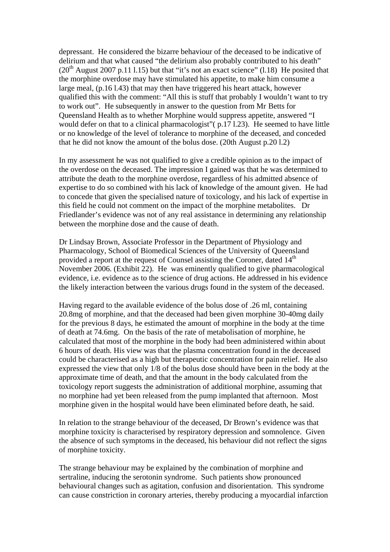depressant. He considered the bizarre behaviour of the deceased to be indicative of delirium and that what caused "the delirium also probably contributed to his death"  $(20<sup>th</sup>$  August 2007 p.11 l.15) but that "it's not an exact science" (l.18) He posited that the morphine overdose may have stimulated his appetite, to make him consume a large meal, (p.16 l.43) that may then have triggered his heart attack, however qualified this with the comment: "All this is stuff that probably I wouldn't want to try to work out". He subsequently in answer to the question from Mr Betts for Queensland Health as to whether Morphine would suppress appetite, answered "I would defer on that to a clinical pharmacologist"( p.17 l.23). He seemed to have little or no knowledge of the level of tolerance to morphine of the deceased, and conceded that he did not know the amount of the bolus dose. (20th August p.20 l.2)

In my assessment he was not qualified to give a credible opinion as to the impact of the overdose on the deceased. The impression I gained was that he was determined to attribute the death to the morphine overdose, regardless of his admitted absence of expertise to do so combined with his lack of knowledge of the amount given. He had to concede that given the specialised nature of toxicology, and his lack of expertise in this field he could not comment on the impact of the morphine metabolites. Dr Friedlander's evidence was not of any real assistance in determining any relationship between the morphine dose and the cause of death.

Dr Lindsay Brown, Associate Professor in the Department of Physiology and Pharmacology, School of Biomedical Sciences of the University of Queensland provided a report at the request of Counsel assisting the Coroner, dated 14<sup>th</sup> November 2006. (Exhibit 22). He was eminently qualified to give pharmacological evidence, i.e. evidence as to the science of drug actions. He addressed in his evidence the likely interaction between the various drugs found in the system of the deceased.

Having regard to the available evidence of the bolus dose of .26 ml, containing 20.8mg of morphine, and that the deceased had been given morphine 30-40mg daily for the previous 8 days, he estimated the amount of morphine in the body at the time of death at 74.6mg. On the basis of the rate of metabolisation of morphine, he calculated that most of the morphine in the body had been administered within about 6 hours of death. His view was that the plasma concentration found in the deceased could be characterised as a high but therapeutic concentration for pain relief. He also expressed the view that only 1/8 of the bolus dose should have been in the body at the approximate time of death, and that the amount in the body calculated from the toxicology report suggests the administration of additional morphine, assuming that no morphine had yet been released from the pump implanted that afternoon. Most morphine given in the hospital would have been eliminated before death, he said.

In relation to the strange behaviour of the deceased, Dr Brown's evidence was that morphine toxicity is characterised by respiratory depression and somnolence. Given the absence of such symptoms in the deceased, his behaviour did not reflect the signs of morphine toxicity.

The strange behaviour may be explained by the combination of morphine and sertraline, inducing the serotonin syndrome. Such patients show pronounced behavioural changes such as agitation, confusion and disorientation. This syndrome can cause constriction in coronary arteries, thereby producing a myocardial infarction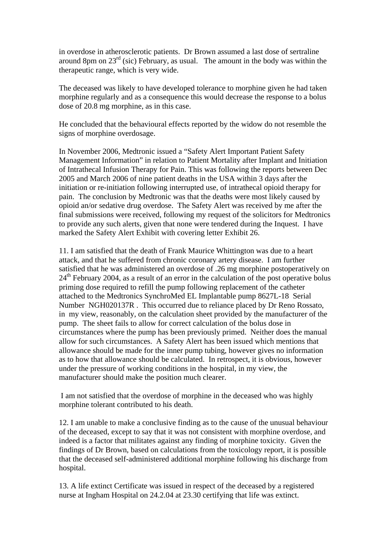in overdose in atherosclerotic patients. Dr Brown assumed a last dose of sertraline around 8pm on  $23<sup>rd</sup>$  (sic) February, as usual. The amount in the body was within the therapeutic range, which is very wide.

The deceased was likely to have developed tolerance to morphine given he had taken morphine regularly and as a consequence this would decrease the response to a bolus dose of 20.8 mg morphine, as in this case.

He concluded that the behavioural effects reported by the widow do not resemble the signs of morphine overdosage.

In November 2006, Medtronic issued a "Safety Alert Important Patient Safety Management Information" in relation to Patient Mortality after Implant and Initiation of Intrathecal Infusion Therapy for Pain. This was following the reports between Dec 2005 and March 2006 of nine patient deaths in the USA within 3 days after the initiation or re-initiation following interrupted use, of intrathecal opioid therapy for pain. The conclusion by Medtronic was that the deaths were most likely caused by opioid an/or sedative drug overdose. The Safety Alert was received by me after the final submissions were received, following my request of the solicitors for Medtronics to provide any such alerts, given that none were tendered during the Inquest. I have marked the Safety Alert Exhibit with covering letter Exhibit 26.

11. I am satisfied that the death of Frank Maurice Whittington was due to a heart attack, and that he suffered from chronic coronary artery disease. I am further satisfied that he was administered an overdose of .26 mg morphine postoperatively on  $24<sup>th</sup>$  February 2004, as a result of an error in the calculation of the post operative bolus priming dose required to refill the pump following replacement of the catheter attached to the Medtronics SynchroMed EL Implantable pump 8627L-18 Serial Number NGH020137R . This occurred due to reliance placed by Dr Reno Rossato, in my view, reasonably, on the calculation sheet provided by the manufacturer of the pump. The sheet fails to allow for correct calculation of the bolus dose in circumstances where the pump has been previously primed. Neither does the manual allow for such circumstances. A Safety Alert has been issued which mentions that allowance should be made for the inner pump tubing, however gives no information as to how that allowance should be calculated. In retrospect, it is obvious, however under the pressure of working conditions in the hospital, in my view, the manufacturer should make the position much clearer.

 I am not satisfied that the overdose of morphine in the deceased who was highly morphine tolerant contributed to his death.

12. I am unable to make a conclusive finding as to the cause of the unusual behaviour of the deceased, except to say that it was not consistent with morphine overdose, and indeed is a factor that militates against any finding of morphine toxicity. Given the findings of Dr Brown, based on calculations from the toxicology report, it is possible that the deceased self-administered additional morphine following his discharge from hospital.

13. A life extinct Certificate was issued in respect of the deceased by a registered nurse at Ingham Hospital on 24.2.04 at 23.30 certifying that life was extinct.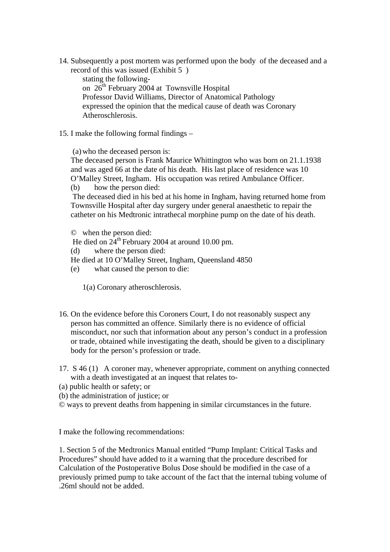14. Subsequently a post mortem was performed upon the body of the deceased and a record of this was issued (Exhibit 5 )

stating the followingon 26<sup>th</sup> February 2004 at Townsville Hospital Professor David Williams, Director of Anatomical Pathology expressed the opinion that the medical cause of death was Coronary Atheroschlerosis.

15. I make the following formal findings –

(a) who the deceased person is:

The deceased person is Frank Maurice Whittington who was born on 21.1.1938 and was aged 66 at the date of his death. His last place of residence was 10 O'Malley Street, Ingham. His occupation was retired Ambulance Officer.

(b) how the person died:

 The deceased died in his bed at his home in Ingham, having returned home from Townsville Hospital after day surgery under general anaesthetic to repair the catheter on his Medtronic intrathecal morphine pump on the date of his death.

© when the person died:

He died on  $24^{th}$  February 2004 at around 10.00 pm.

(d) where the person died:

He died at 10 O'Malley Street, Ingham, Queensland 4850

(e) what caused the person to die:

1(a) Coronary atheroschlerosis.

- 16. On the evidence before this Coroners Court, I do not reasonably suspect any person has committed an offence. Similarly there is no evidence of official misconduct, nor such that information about any person's conduct in a profession or trade, obtained while investigating the death, should be given to a disciplinary body for the person's profession or trade.
- 17. S 46 (1) A coroner may, whenever appropriate, comment on anything connected with a death investigated at an inquest that relates to-
- (a) public health or safety; or
- (b) the administration of justice; or
- © ways to prevent deaths from happening in similar circumstances in the future.

I make the following recommendations:

1. Section 5 of the Medtronics Manual entitled "Pump Implant: Critical Tasks and Procedures" should have added to it a warning that the procedure described for Calculation of the Postoperative Bolus Dose should be modified in the case of a previously primed pump to take account of the fact that the internal tubing volume of .26ml should not be added.